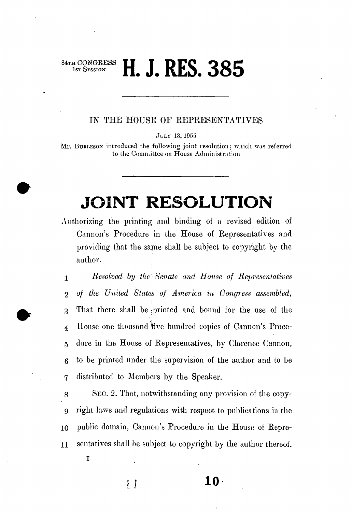## IST SESSION **H J RFS** 385  **П. Ј. КL). 30Э**

## *m* THE HOUSE OF REPRESENTATIVES

JULY 13,1955

Mr. BURLESON introduced the following joint resolution; which was referred to the Committee on House Administration

## **JOINT RESOLUTION**

Authorizing the printing and binding of a revised edition of Cannon's Procedure in the House of Representatives and providing that the same shall be subject to copyright by the author.

1 *Resolved by the)Senate and House of Representatives*  2 *of the United States of America in Congress assembled,*  3 That there shall be :printed and bound for the use of the 4 House one thousand "five hundred copies of Cannon's Proce-5 dure in the House of Representatives, by Clarence Cannon, 6 to be printed under the supervision of the author and to be 7 distributed to Members by the Speaker.

8 SEC. 2. That, notwithstanding any provision of the copy-9 right laws and regulations with respect to publications in the 10 public domain, Cannon's Procedure in the House of Repre-11 sentatives shall be subject to copyright by the author thereof.

I